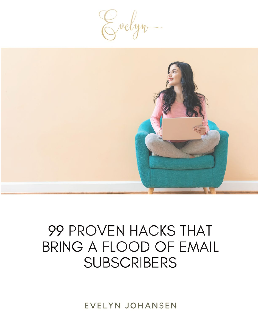Evelyn



## 99 PROVEN HACKS THAT **BRING A FLOOD OF EMAIL SUBSCRIBERS**

**EVELYN JOHANSEN**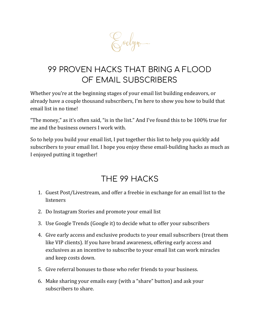

## 99 PROVEN HACKS THAT BRING A FLOOD OF EMAIL SUBSCRIBERS

Whether you're at the beginning stages of your email list building endeavors, or already have a couple thousand subscribers, I'm here to show you how to build that email list in no time!

"The money," as it's often said, "is in the list." And I've found this to be 100% true for me and the business owners I work with.

So to help you build your email list, I put together this list to help you quickly add subscribers to your email list. I hope you enjoy these email-building hacks as much as I enjoyed putting it together!

## THE 99 HACKS

- 1. Guest Post/Livestream, and offer a freebie in exchange for an email list to the **listeners**
- 2. Do Instagram Stories and promote your email list
- 3. Use Google Trends (Google it) to decide what to offer your subscribers
- 4. Give early access and exclusive products to your email subscribers (treat them like VIP clients). If you have brand awareness, offering early access and exclusives as an incentive to subscribe to your email list can work miracles and keep costs down.
- 5. Give referral bonuses to those who refer friends to your business.
- 6. Make sharing your emails easy (with a "share" button) and ask your subscribers to share.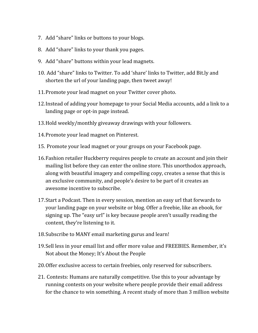- 7. Add "share" links or buttons to your blogs.
- 8. Add "share" links to your thank you pages.
- 9. Add "share" buttons within your lead magnets.
- 10. Add "share" links to Twitter. To add 'share' links to Twitter, add Bit.ly and shorten the url of your landing page, then tweet away!
- 11.Promote your lead magnet on your Twitter cover photo.
- 12.Instead of adding your homepage to your Social Media accounts, add a link to a landing page or opt-in page instead.
- 13.Hold weekly/monthly giveaway drawings with your followers.
- 14.Promote your lead magnet on Pinterest.
- 15. Promote your lead magnet or your groups on your Facebook page.
- 16.Fashion retailer Huckberry requires people to create an account and join their mailing list before they can enter the online store. This unorthodox approach, along with beautiful imagery and compelling copy, creates a sense that this is an exclusive community, and people's desire to be part of it creates an awesome incentive to subscribe.
- 17.Start a Podcast. Then in every session, mention an easy url that forwards to your landing page on your website or blog. Offer a freebie, like an ebook, for signing up. The "easy url" is key because people aren't usually reading the content, they're listening to it.
- 18.Subscribe to MANY email marketing gurus and learn!
- 19.Sell less in your email list and offer more value and FREEBIES. Remember, it's Not about the Money; It's About the People
- 20.Offer exclusive access to certain freebies, only reserved for subscribers.
- 21. Contests: Humans are naturally competitive. Use this to your advantage by running contests on your website where people provide their email address for the chance to win something. A recent study of more than 3 million website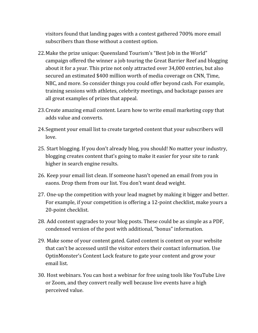visitors found that landing pages with a contest gathered 700% more email subscribers than those without a contest option.

- 22.Make the prize unique: Queensland Tourism's "Best Job in the World" campaign offered the winner a job touring the Great Barrier Reef and blogging about it for a year. This prize not only attracted over 34,000 entries, but also secured an estimated \$400 million worth of media coverage on CNN, Time, NBC, and more. So consider things you could offer beyond cash. For example, training sessions with athletes, celebrity meetings, and backstage passes are all great examples of prizes that appeal.
- 23.Create amazing email content. Learn how to write email marketing copy that adds value and converts.
- 24.Segment your email list to create targeted content that your subscribers will love.
- 25. Start blogging. If you don't already blog, you should! No matter your industry, blogging creates content that's going to make it easier for your site to rank higher in search engine results.
- 26. Keep your email list clean. If someone hasn't opened an email from you in eaons. Drop them from our list. You don't want dead weight.
- 27. One-up the competition with your lead magnet by making it bigger and better. For example, if your competition is offering a 12-point checklist, make yours a 20-point checklist.
- 28. Add content upgrades to your blog posts. These could be as simple as a PDF, condensed version of the post with additional, "bonus" information.
- 29. Make some of your content gated. Gated content is content on your website that can't be accessed until the visitor enters their contact information. Use OptinMonster's Content Lock feature to gate your content and grow your email list.
- 30. Host webinars. You can host a webinar for free using tools like YouTube Live or Zoom, and they convert really well because live events have a high perceived value.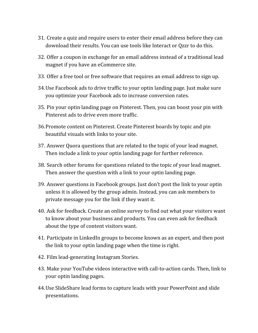- 31. Create a quiz and require users to enter their email address before they can download their results. You can use tools like Interact or Qzzr to do this.
- 32. Offer a coupon in exchange for an email address instead of a traditional lead magnet if you have an eCommerce site.
- 33. Offer a free tool or free software that requires an email address to sign up.
- 34.Use Facebook ads to drive traffic to your optin landing page. Just make sure you optimize your Facebook ads to increase conversion rates.
- 35. Pin your optin landing page on Pinterest. Then, you can boost your pin with Pinterest ads to drive even more traffic.
- 36.Promote content on Pinterest. Create Pinterest boards by topic and pin beautiful visuals with links to your site.
- 37. Answer Quora questions that are related to the topic of your lead magnet. Then include a link to your optin landing page for further reference.
- 38. Search other forums for questions related to the topic of your lead magnet. Then answer the question with a link to your optin landing page.
- 39. Answer questions in Facebook groups. Just don't post the link to your optin unless it is allowed by the group admin. Instead, you can ask members to private message you for the link if they want it.
- 40. Ask for feedback. Create an online survey to find out what your visitors want to know about your business and products. You can even ask for feedback about the type of content visitors want.
- 41. Participate in LinkedIn groups to become known as an expert, and then post the link to your optin landing page when the time is right.
- 42. Film lead-generating Instagram Stories.
- 43. Make your YouTube videos interactive with call-to-action cards. Then, link to your optin landing pages.
- 44.Use SlideShare lead forms to capture leads with your PowerPoint and slide presentations.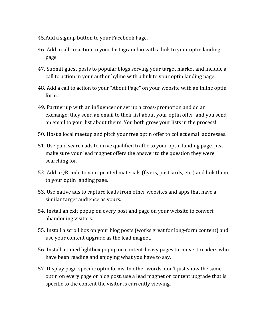- 45.Add a signup button to your Facebook Page.
- 46. Add a call-to-action to your Instagram bio with a link to your optin landing page.
- 47. Submit guest posts to popular blogs serving your target market and include a call to action in your author byline with a link to your optin landing page.
- 48. Add a call to action to your "About Page" on your website with an inline optin form.
- 49. Partner up with an influencer or set up a cross-promotion and do an exchange: they send an email to their list about your optin offer, and you send an email to your list about theirs. You both grow your lists in the process!
- 50. Host a local meetup and pitch your free optin offer to collect email addresses.
- 51. Use paid search ads to drive qualified traffic to your optin landing page. Just make sure your lead magnet offers the answer to the question they were searching for.
- 52. Add a QR code to your printed materials (flyers, postcards, etc.) and link them to your optin landing page.
- 53. Use native ads to capture leads from other websites and apps that have a similar target audience as yours.
- 54. Install an exit popup on every post and page on your website to convert abandoning visitors.
- 55. Install a scroll box on your blog posts (works great for long-form content) and use your content upgrade as the lead magnet.
- 56. Install a timed lightbox popup on content-heavy pages to convert readers who have been reading and enjoying what you have to say.
- 57. Display page-specific optin forms. In other words, don't just show the same optin on every page or blog post, use a lead magnet or content upgrade that is specific to the content the visitor is currently viewing.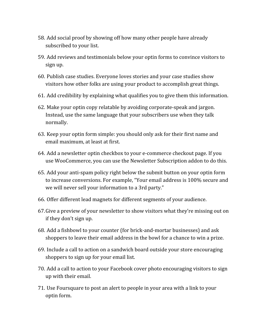- 58. Add social proof by showing off how many other people have already subscribed to your list.
- 59. Add reviews and testimonials below your optin forms to convince visitors to sign up.
- 60. Publish case studies. Everyone loves stories and your case studies show visitors how other folks are using your product to accomplish great things.
- 61. Add credibility by explaining what qualifies you to give them this information.
- 62. Make your optin copy relatable by avoiding corporate-speak and jargon. Instead, use the same language that your subscribers use when they talk normally.
- 63. Keep your optin form simple: you should only ask for their first name and email maximum, at least at first.
- 64. Add a newsletter optin checkbox to your e-commerce checkout page. If you use WooCommerce, you can use the Newsletter Subscription addon to do this.
- 65. Add your anti-spam policy right below the submit button on your optin form to increase conversions. For example, "Your email address is 100% secure and we will never sell your information to a 3rd party."
- 66. Offer different lead magnets for different segments of your audience.
- 67.Give a preview of your newsletter to show visitors what they're missing out on if they don't sign up.
- 68. Add a fishbowl to your counter (for brick-and-mortar businesses) and ask shoppers to leave their email address in the bowl for a chance to win a prize.
- 69. Include a call to action on a sandwich board outside your store encouraging shoppers to sign up for your email list.
- 70. Add a call to action to your Facebook cover photo encouraging visitors to sign up with their email.
- 71. Use Foursquare to post an alert to people in your area with a link to your optin form.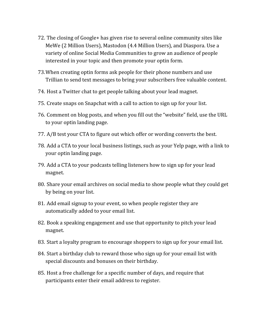- 72. The closing of Google+ has given rise to several online community sites like MeWe (2 Million Users), Mastodon (4.4 Million Users), and Diaspora. Use a variety of online Social Media Communities to grow an audience of people interested in your topic and then promote your optin form.
- 73.When creating optin forms ask people for their phone numbers and use Trillian to send text messages to bring your subscribers free valuable content.
- 74. Host a Twitter chat to get people talking about your lead magnet.
- 75. Create snaps on Snapchat with a call to action to sign up for your list.
- 76. Comment on blog posts, and when you fill out the "website" field, use the URL to your optin landing page.
- 77. A/B test your CTA to figure out which offer or wording converts the best.
- 78. Add a CTA to your local business listings, such as your Yelp page, with a link to your optin landing page.
- 79. Add a CTA to your podcasts telling listeners how to sign up for your lead magnet.
- 80. Share your email archives on social media to show people what they could get by being on your list.
- 81. Add email signup to your event, so when people register they are automatically added to your email list.
- 82. Book a speaking engagement and use that opportunity to pitch your lead magnet.
- 83. Start a loyalty program to encourage shoppers to sign up for your email list.
- 84. Start a birthday club to reward those who sign up for your email list with special discounts and bonuses on their birthday.
- 85. Host a free challenge for a specific number of days, and require that participants enter their email address to register.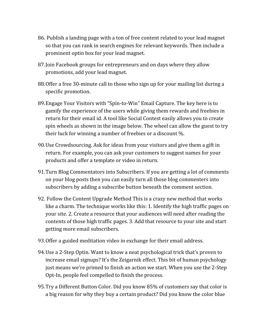- 86. Publish a landing page with a ton of free content related to your lead magnet so that you can rank in search engines for relevant keywords. Then include a prominent optin box for your lead magnet.
- 87.Join Facebook groups for entrepreneurs and on days where they allow promotions, add your lead magnet.
- 88.Offer a free 30-minute call to those who sign up for your mailing list during a specific promotion.
- 89.Engage Your Visitors with "Spin-to-Win" Email Capture. The key here is to gamify the experience of the users while giving them rewards and freebies in return for their email id. A tool like Social Contest easily allows you to create spin wheels as shown in the image below. The wheel can allow the guest to try their luck for winning a number of freebies or a discount %.
- 90.Use Crowdsourcing. Ask for ideas from your visitors and give them a gift in return. For example, you can ask your customers to suggest names for your products and offer a template or video in return.
- 91.Turn Blog Commentators into Subscribers. If you are getting a lot of comments on your blog posts then you can easily turn all those blog commenters into subscribers by adding a subscribe button beneath the comment section.
- 92. Follow the Content Upgrade Method This is a crazy new method that works like a charm. The technique works like this: 1. Identify the high traffic pages on your site. 2. Create a resource that your audiences will need after reading the contents of those high traffic pages. 3. Add that resource to your site and start getting more email subscribers.
- 93.Offer a guided meditation video in exchange for their email address.
- 94.Use a 2-Step Optin. Want to know a neat psychological trick that's proven to increase email signups? It's the Zeigarnik effect. This bit of human psychology just means we're primed to finish an action we start. When you use the 2-Step Opt-In, people feel compelled to finish the process.
- 95.Try a Different Button Color. Did you know 85% of customers say that color is a big reason for why they buy a certain product? Did you know the color blue